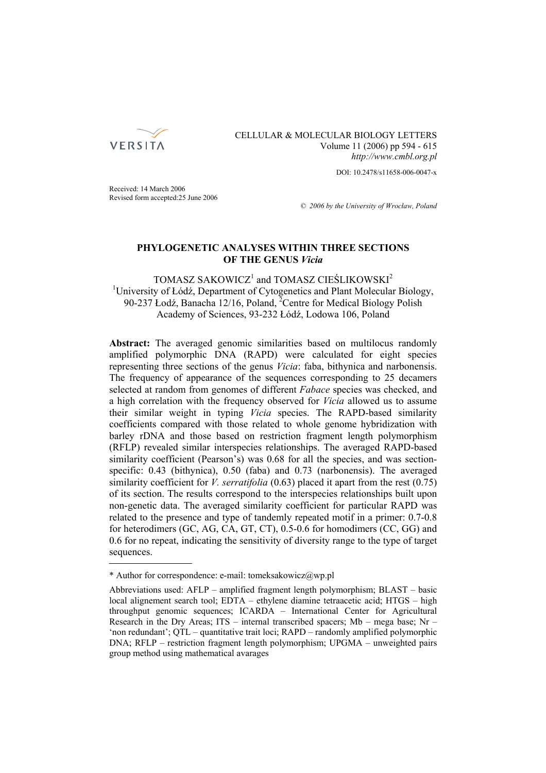

# CELLULAR & MOLECULAR BIOLOGY LETTERS Volume 11 (2006) pp 594 - 615 *http://www.cmbl.org.pl*

DOI: 10.2478/s11658-006-0047-x

Received: 14 March 2006 Revised form accepted:25 June 2006

*© 2006 by the University of Wrocław, Poland*

# **PHYLOGENETIC ANALYSES WITHIN THREE SECTIONS OF THE GENUS** *Vicia*

# $TOMASZ$  SAKOWICZ<sup>1</sup> and  $TOMASZ$  CIEŚLIKOWSKI<sup>2</sup> <sup>1</sup>University of Łódź, Department of Cytogenetics and Plant Molecular Biology, 90-237 Łodź, Banacha 12/16, Poland, <sup>2</sup>Centre for Medical Biology Polish Academy of Sciences, 93-232 Łódź, Lodowa 106, Poland

**Abstract:** The averaged genomic similarities based on multilocus randomly amplified polymorphic DNA (RAPD) were calculated for eight species representing three sections of the genus *Vicia*: faba, bithynica and narbonensis. The frequency of appearance of the sequences corresponding to 25 decamers selected at random from genomes of different *Fabace* species was checked, and a high correlation with the frequency observed for *Vicia* allowed us to assume their similar weight in typing *Vicia* species. The RAPD-based similarity coefficients compared with those related to whole genome hybridization with barley rDNA and those based on restriction fragment length polymorphism (RFLP) revealed similar interspecies relationships. The averaged RAPD-based similarity coefficient (Pearson's) was 0.68 for all the species, and was sectionspecific: 0.43 (bithynica), 0.50 (faba) and 0.73 (narbonensis). The averaged similarity coefficient for *V. serratifolia* (0.63) placed it apart from the rest (0.75) of its section. The results correspond to the interspecies relationships built upon non-genetic data. The averaged similarity coefficient for particular RAPD was related to the presence and type of tandemly repeated motif in a primer: 0.7-0.8 for heterodimers (GC, AG, CA, GT, CT), 0.5-0.6 for homodimers (CC, GG) and 0.6 for no repeat, indicating the sensitivity of diversity range to the type of target sequences.

<sup>\*</sup> Author for correspondence: e-mail: tomeksakowicz@wp.pl

Abbreviations used: AFLP – amplified fragment length polymorphism; BLAST – basic local alignement search tool; EDTA – ethylene diamine tetraacetic acid; HTGS – high throughput genomic sequences; ICARDA – International Center for Agricultural Research in the Dry Areas; ITS – internal transcribed spacers; Mb – mega base; Nr – 'non redundant'; QTL – quantitative trait loci; RAPD – randomly amplified polymorphic DNA; RFLP – restriction fragment length polymorphism; UPGMA – unweighted pairs group method using mathematical avarages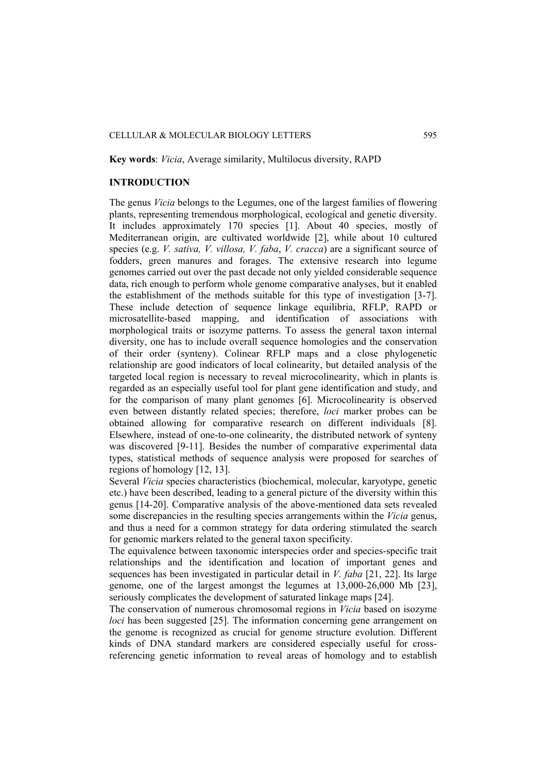## CELLULAR & MOLECULAR BIOLOGY LETTERS 595

### **Key words**: *Vicia*, Average similarity, Multilocus diversity, RAPD

## **INTRODUCTION**

The genus *Vicia* belongs to the Legumes, one of the largest families of flowering plants, representing tremendous morphological, ecological and genetic diversity. It includes approximately 170 species [1]. About 40 species, mostly of Mediterranean origin, are cultivated worldwide [2], while about 10 cultured species (e.g. *V. sativa, V. villosa, V. faba*, *V. cracca*) are a significant source of fodders, green manures and forages. The extensive research into legume genomes carried out over the past decade not only yielded considerable sequence data, rich enough to perform whole genome comparative analyses, but it enabled the establishment of the methods suitable for this type of investigation [3-7]. These include detection of sequence linkage equilibria, RFLP, RAPD or microsatellite-based mapping, and identification of associations with morphological traits or isozyme patterns. To assess the general taxon internal diversity, one has to include overall sequence homologies and the conservation of their order (synteny). Colinear RFLP maps and a close phylogenetic relationship are good indicators of local colinearity, but detailed analysis of the targeted local region is necessary to reveal microcolinearity, which in plants is regarded as an especially useful tool for plant gene identification and study, and for the comparison of many plant genomes [6]. Microcolinearity is observed even between distantly related species; therefore, *loci* marker probes can be obtained allowing for comparative research on different individuals [8]. Elsewhere, instead of one-to-one colinearity, the distributed network of synteny was discovered [9-11]. Besides the number of comparative experimental data types, statistical methods of sequence analysis were proposed for searches of regions of homology [12, 13].

Several *Vicia* species characteristics (biochemical, molecular, karyotype, genetic etc.) have been described, leading to a general picture of the diversity within this genus [14-20]. Comparative analysis of the above-mentioned data sets revealed some discrepancies in the resulting species arrangements within the *Vicia* genus, and thus a need for a common strategy for data ordering stimulated the search for genomic markers related to the general taxon specificity.

The equivalence between taxonomic interspecies order and species-specific trait relationships and the identification and location of important genes and sequences has been investigated in particular detail in *V. faba* [21, 22]. Its large genome, one of the largest amongst the legumes at 13,000-26,000 Mb [23], seriously complicates the development of saturated linkage maps [24].

The conservation of numerous chromosomal regions in *Vicia* based on isozyme *loci* has been suggested [25]. The information concerning gene arrangement on the genome is recognized as crucial for genome structure evolution. Different kinds of DNA standard markers are considered especially useful for crossreferencing genetic information to reveal areas of homology and to establish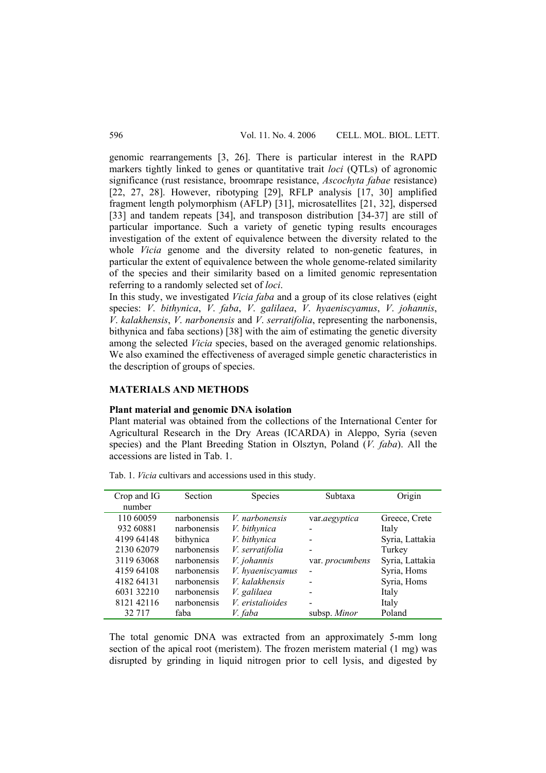genomic rearrangements [3, 26]. There is particular interest in the RAPD markers tightly linked to genes or quantitative trait *loci* (QTLs) of agronomic significance (rust resistance, broomrape resistance, *Ascochyta fabae* resistance) [22, 27, 28]. However, ribotyping [29], RFLP analysis [17, 30] amplified fragment length polymorphism (AFLP) [31], microsatellites [21, 32], dispersed [33] and tandem repeats [34], and transposon distribution [34-37] are still of particular importance. Such a variety of genetic typing results encourages investigation of the extent of equivalence between the diversity related to the whole *Vicia* genome and the diversity related to non-genetic features, in particular the extent of equivalence between the whole genome-related similarity of the species and their similarity based on a limited genomic representation referring to a randomly selected set of *loci*.

In this study, we investigated *Vicia faba* and a group of its close relatives (eight species: *V*. *bithynica*, *V*. *faba*, *V*. *galilaea*, *V*. *hyaeniscyamus*, *V*. *johannis*, *V*. *kalakhensis*, *V*. *narbonensis* and *V*. *serratifolia*, representing the narbonensis, bithynica and faba sections) [38] with the aim of estimating the genetic diversity among the selected *Vicia* species, based on the averaged genomic relationships. We also examined the effectiveness of averaged simple genetic characteristics in the description of groups of species.

# **MATERIALS AND METHODS**

## **Plant material and genomic DNA isolation**

Plant material was obtained from the collections of the International Center for Agricultural Research in the Dry Areas (ICARDA) in Aleppo, Syria (seven species) and the Plant Breeding Station in Olsztyn, Poland (*V. faba*). All the accessions are listed in Tab. 1.

| Crop and IG<br>number | Section     | Species               | Subtaxa         | Origin          |
|-----------------------|-------------|-----------------------|-----------------|-----------------|
| 110 60059             | narbonensis | <i>V.</i> narbonensis | var.aegyptica   | Greece, Crete   |
| 932 60881             | narbonensis | V. bithynica          |                 | Italy           |
| 4199 64148            | bithynica   | V. bithynica          |                 | Syria, Lattakia |
| 2130 62079            | narbonensis | V. serratifolia       |                 | Turkey          |
| 3119 63068            | narbonensis | V. johannis           | var. procumbens | Syria, Lattakia |
| 4159 64108            | narbonensis | V. hyaeniscyamus      |                 | Syria, Homs     |
| 4182 64131            | narbonensis | V. kalakhensis        |                 | Syria, Homs     |
| 6031 32210            | narbonensis | V. galilaea           |                 | Italy           |
| 8121 42116            | narbonensis | V. eristalioides      |                 | Italy           |
| 32 7 17               | faba        | V. faba               | subsp. Minor    | Poland          |

Tab. 1. *Vicia* cultivars and accessions used in this study.

The total genomic DNA was extracted from an approximately 5-mm long section of the apical root (meristem). The frozen meristem material (1 mg) was disrupted by grinding in liquid nitrogen prior to cell lysis, and digested by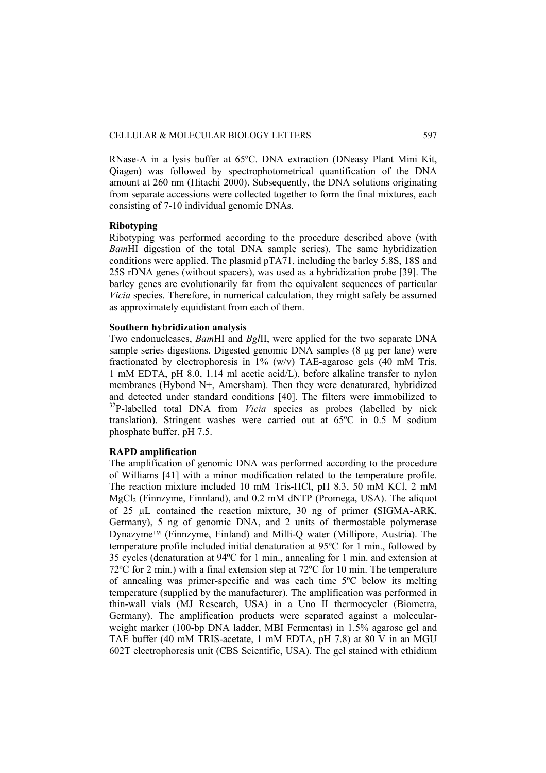RNase-A in a lysis buffer at 65ºC. DNA extraction (DNeasy Plant Mini Kit, Qiagen) was followed by spectrophotometrical quantification of the DNA amount at 260 nm (Hitachi 2000). Subsequently, the DNA solutions originating from separate accessions were collected together to form the final mixtures, each consisting of 7-10 individual genomic DNAs.

# **Ribotyping**

Ribotyping was performed according to the procedure described above (with *Bam*HI digestion of the total DNA sample series). The same hybridization conditions were applied. The plasmid pTA71, including the barley 5.8S, 18S and 25S rDNA genes (without spacers), was used as a hybridization probe [39]. The barley genes are evolutionarily far from the equivalent sequences of particular *Vicia* species. Therefore, in numerical calculation, they might safely be assumed as approximately equidistant from each of them.

## **Southern hybridization analysis**

Two endonucleases, *Bam*HI and *Bgl*II, were applied for the two separate DNA sample series digestions. Digested genomic DNA samples (8 μg per lane) were fractionated by electrophoresis in 1% (w/v) TAE-agarose gels (40 mM Tris, 1 mM EDTA, pH 8.0, 1.14 ml acetic acid/L), before alkaline transfer to nylon membranes (Hybond N+, Amersham). Then they were denaturated, hybridized and detected under standard conditions [40]. The filters were immobilized to <sup>32</sup>P-labelled total DNA from *Vicia* species as probes (labelled by nick translation). Stringent washes were carried out at 65ºC in 0.5 M sodium phosphate buffer, pH 7.5.

# **RAPD amplification**

The amplification of genomic DNA was performed according to the procedure of Williams [41] with a minor modification related to the temperature profile. The reaction mixture included 10 mM Tris-HCl, pH 8.3, 50 mM KCl, 2 mM MgCl<sub>2</sub> (Finnzyme, Finnland), and 0.2 mM dNTP (Promega, USA). The aliquot of 25 μL contained the reaction mixture, 30 ng of primer (SIGMA-ARK, Germany), 5 ng of genomic DNA, and 2 units of thermostable polymerase Dynazyme™ (Finnzyme, Finland) and Milli-Q water (Millipore, Austria). The temperature profile included initial denaturation at 95ºC for 1 min., followed by 35 cycles (denaturation at 94ºC for 1 min., annealing for 1 min. and extension at 72ºC for 2 min.) with a final extension step at 72ºC for 10 min. The temperature of annealing was primer-specific and was each time 5ºC below its melting temperature (supplied by the manufacturer). The amplification was performed in thin-wall vials (MJ Research, USA) in a Uno II thermocycler (Biometra, Germany). The amplification products were separated against a molecularweight marker (100-bp DNA ladder, MBI Fermentas) in 1.5% agarose gel and TAE buffer (40 mM TRIS-acetate, 1 mM EDTA, pH 7.8) at 80 V in an MGU 602T electrophoresis unit (CBS Scientific, USA). The gel stained with ethidium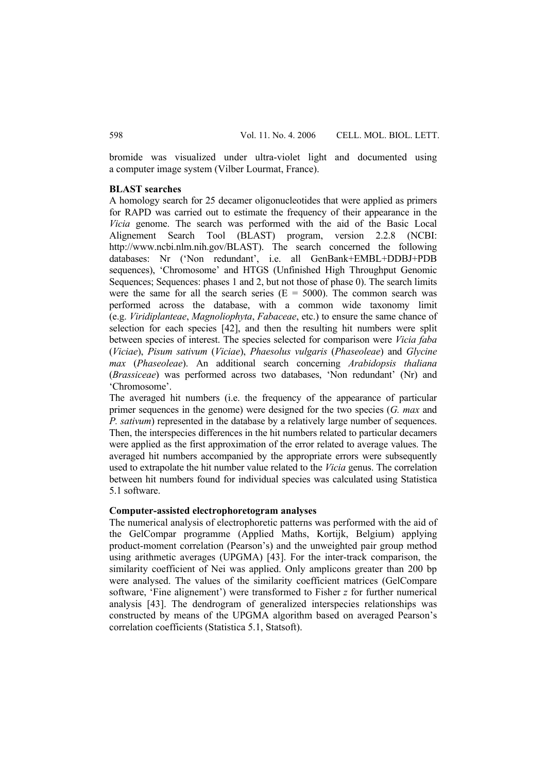bromide was visualized under ultra-violet light and documented using a computer image system (Vilber Lourmat, France).

## **BLAST searches**

A homology search for 25 decamer oligonucleotides that were applied as primers for RAPD was carried out to estimate the frequency of their appearance in the *Vicia* genome. The search was performed with the aid of the Basic Local Alignement Search Tool (BLAST) program, version 2.2.8 (NCBI: http://www.ncbi.nlm.nih.gov/BLAST). The search concerned the following databases: Nr ('Non redundant', i.e. all GenBank+EMBL+DDBJ+PDB sequences), 'Chromosome' and HTGS (Unfinished High Throughput Genomic Sequences; Sequences: phases 1 and 2, but not those of phase 0). The search limits were the same for all the search series  $(E = 5000)$ . The common search was performed across the database, with a common wide taxonomy limit (e.g. *Viridiplanteae*, *Magnoliophyta*, *Fabaceae*, etc.) to ensure the same chance of selection for each species [42], and then the resulting hit numbers were split between species of interest. The species selected for comparison were *Vicia faba*  (*Viciae*), *Pisum sativum* (*Viciae*), *Phaesolus vulgaris* (*Phaseoleae*) and *Glycine max* (*Phaseoleae*). An additional search concerning *Arabidopsis thaliana*  (*Brassiceae*) was performed across two databases, 'Non redundant' (Nr) and 'Chromosome'.

The averaged hit numbers (i.e. the frequency of the appearance of particular primer sequences in the genome) were designed for the two species (*G. max* and *P. sativum*) represented in the database by a relatively large number of sequences. Then, the interspecies differences in the hit numbers related to particular decamers were applied as the first approximation of the error related to average values. The averaged hit numbers accompanied by the appropriate errors were subsequently used to extrapolate the hit number value related to the *Vicia* genus. The correlation between hit numbers found for individual species was calculated using Statistica 5.1 software.

# **Computer-assisted electrophoretogram analyses**

The numerical analysis of electrophoretic patterns was performed with the aid of the GelCompar programme (Applied Maths, Kortijk, Belgium) applying product-moment correlation (Pearson's) and the unweighted pair group method using arithmetic averages (UPGMA) [43]. For the inter-track comparison, the similarity coefficient of Nei was applied. Only amplicons greater than 200 bp were analysed. The values of the similarity coefficient matrices (GelCompare software, 'Fine alignement') were transformed to Fisher *z* for further numerical analysis [43]. The dendrogram of generalized interspecies relationships was constructed by means of the UPGMA algorithm based on averaged Pearson's correlation coefficients (Statistica 5.1, Statsoft).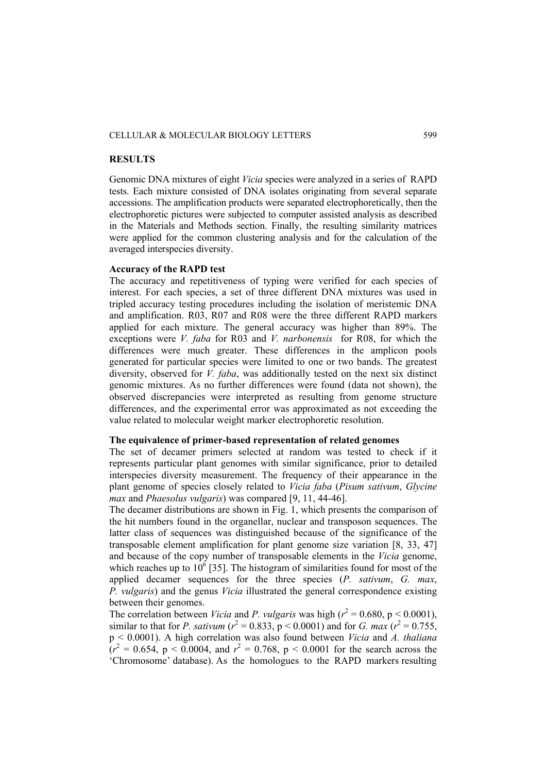# CELLULAR & MOLECULAR BIOLOGY LETTERS 599

## **RESULTS**

Genomic DNA mixtures of eight *Vicia* species were analyzed in a series of RAPD tests. Each mixture consisted of DNA isolates originating from several separate accessions. The amplification products were separated electrophoretically, then the electrophoretic pictures were subjected to computer assisted analysis as described in the Materials and Methods section. Finally, the resulting similarity matrices were applied for the common clustering analysis and for the calculation of the averaged interspecies diversity.

# **Accuracy of the RAPD test**

The accuracy and repetitiveness of typing were verified for each species of interest. For each species, a set of three different DNA mixtures was used in tripled accuracy testing procedures including the isolation of meristemic DNA and amplification. R03, R07 and R08 were the three different RAPD markers applied for each mixture. The general accuracy was higher than 89%. The exceptions were *V. faba* for R03 and *V. narbonensis* for R08, for which the differences were much greater. These differences in the amplicon pools generated for particular species were limited to one or two bands. The greatest diversity, observed for *V. faba*, was additionally tested on the next six distinct genomic mixtures. As no further differences were found (data not shown), the observed discrepancies were interpreted as resulting from genome structure differences, and the experimental error was approximated as not exceeding the value related to molecular weight marker electrophoretic resolution.

### **The equivalence of primer-based representation of related genomes**

The set of decamer primers selected at random was tested to check if it represents particular plant genomes with similar significance, prior to detailed interspecies diversity measurement. The frequency of their appearance in the plant genome of species closely related to *Vicia faba* (*Pisum sativum*, *Glycine max* and *Phaesolus vulgaris*) was compared [9, 11, 44-46].

The decamer distributions are shown in Fig. 1, which presents the comparison of the hit numbers found in the organellar, nuclear and transposon sequences. The latter class of sequences was distinguished because of the significance of the transposable element amplification for plant genome size variation [8, 33, 47] and because of the copy number of transposable elements in the *Vicia* genome, which reaches up to  $10^6$  [35]. The histogram of similarities found for most of the applied decamer sequences for the three species (*P. sativum*, *G. max*, *P. vulgaris*) and the genus *Vicia* illustrated the general correspondence existing between their genomes.

The correlation between *Vicia* and *P. vulgaris* was high ( $r^2 = 0.680$ , p < 0.0001), similar to that for *P. sativum* ( $r^2 = 0.833$ ,  $p < 0.0001$ ) and for *G. max* ( $r^2 = 0.755$ , p < 0.0001). A high correlation was also found between *Vicia* and *A. thaliana*   $(r^2 = 0.654, p < 0.0004,$  and  $r^2 = 0.768, p < 0.0001$  for the search across the 'Chromosome' database). As the homologues to the RAPD markers resulting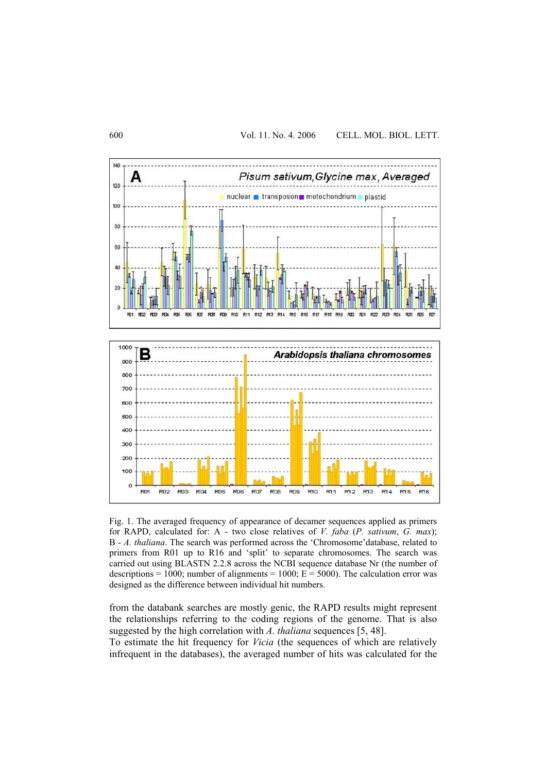

Fig. 1. The averaged frequency of appearance of decamer sequences applied as primers for RAPD, calculated for: A - two close relatives of *V. faba* (*P. sativum*, *G. max*); B - *A. thaliana*. The search was performed across the 'Chromosome'database, related to primers from R01 up to R16 and 'split' to separate chromosomes. The search was carried out using BLASTN 2.2.8 across the NCBI sequence database Nr (the number of descriptions = 1000; number of alignments = 1000;  $E = 5000$ ). The calculation error was designed as the difference between individual hit numbers.

from the databank searches are mostly genic, the RAPD results might represent the relationships referring to the coding regions of the genome. That is also suggested by the high correlation with *A. thaliana* sequences [5, 48].

To estimate the hit frequency for *Vicia* (the sequences of which are relatively infrequent in the databases), the averaged number of hits was calculated for the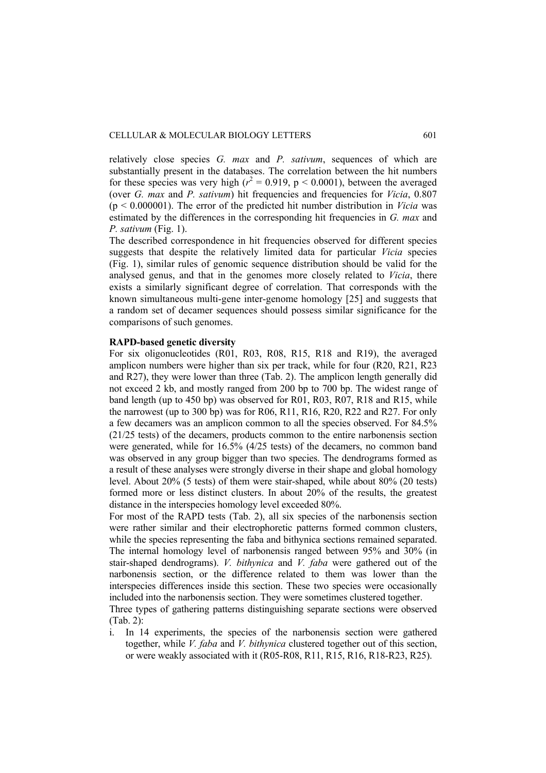relatively close species *G. max* and *P. sativum*, sequences of which are substantially present in the databases. The correlation between the hit numbers for these species was very high ( $r^2 = 0.919$ , p < 0.0001), between the averaged (over *G. max* and *P. sativum*) hit frequencies and frequencies for *Vicia*, 0.807 (p < 0.000001). The error of the predicted hit number distribution in *Vicia* was estimated by the differences in the corresponding hit frequencies in *G. max* and *P. sativum* (Fig. 1).

The described correspondence in hit frequencies observed for different species suggests that despite the relatively limited data for particular *Vicia* species (Fig. 1), similar rules of genomic sequence distribution should be valid for the analysed genus, and that in the genomes more closely related to *Vicia*, there exists a similarly significant degree of correlation. That corresponds with the known simultaneous multi-gene inter-genome homology [25] and suggests that a random set of decamer sequences should possess similar significance for the comparisons of such genomes.

# **RAPD-based genetic diversity**

For six oligonucleotides (R01, R03, R08, R15, R18 and R19), the averaged amplicon numbers were higher than six per track, while for four (R20, R21, R23 and R27), they were lower than three (Tab. 2). The amplicon length generally did not exceed 2 kb, and mostly ranged from 200 bp to 700 bp. The widest range of band length (up to 450 bp) was observed for R01, R03, R07, R18 and R15, while the narrowest (up to 300 bp) was for R06, R11, R16, R20, R22 and R27. For only a few decamers was an amplicon common to all the species observed. For 84.5% (21/25 tests) of the decamers, products common to the entire narbonensis section were generated, while for 16.5% (4/25 tests) of the decamers, no common band was observed in any group bigger than two species. The dendrograms formed as a result of these analyses were strongly diverse in their shape and global homology level. About 20% (5 tests) of them were stair-shaped, while about 80% (20 tests) formed more or less distinct clusters. In about 20% of the results, the greatest distance in the interspecies homology level exceeded 80%.

For most of the RAPD tests (Tab. 2), all six species of the narbonensis section were rather similar and their electrophoretic patterns formed common clusters, while the species representing the faba and bithynica sections remained separated. The internal homology level of narbonensis ranged between 95% and 30% (in stair-shaped dendrograms). *V. bithynica* and *V. faba* were gathered out of the narbonensis section, or the difference related to them was lower than the interspecies differences inside this section. These two species were occasionally included into the narbonensis section. They were sometimes clustered together.

Three types of gathering patterns distinguishing separate sections were observed (Tab. 2):

i. In 14 experiments, the species of the narbonensis section were gathered together, while *V. faba* and *V. bithynica* clustered together out of this section, or were weakly associated with it (R05-R08, R11, R15, R16, R18-R23, R25).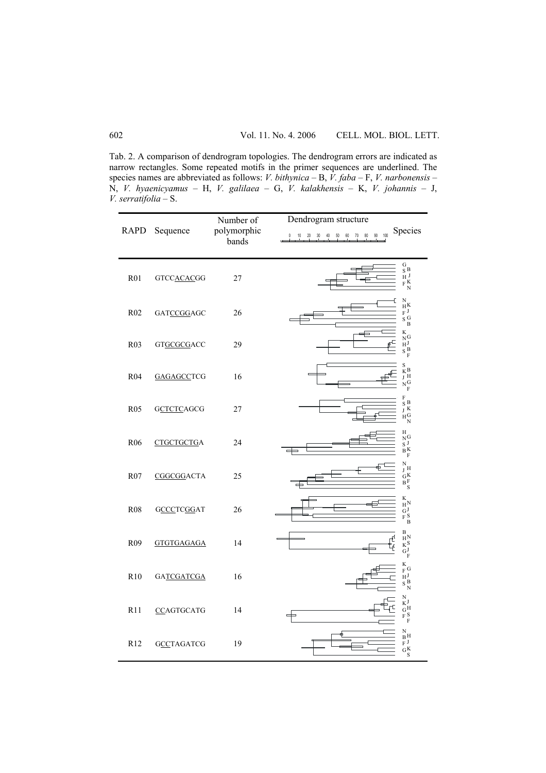Tab. 2. A comparison of dendrogram topologies. The dendrogram errors are indicated as narrow rectangles. Some repeated motifs in the primer sequences are underlined. The species names are abbreviated as follows: *V. bithynica* – B, *V. faba* – F, *V. narbonensis* – N, *V. hyaenicyamus* – H, *V. galilaea* – G, *V. kalakhensis* – K, *V. johannis* – J, *V. serratifolia* – S.

| RAPD             | Sequence          | Number of<br>polymorphic<br>bands | Dendrogram structure<br>Species<br>100                                                               |
|------------------|-------------------|-----------------------------------|------------------------------------------------------------------------------------------------------|
| <b>R01</b>       | <b>GTCCACACGG</b> | 27                                | $\frac{G}{S}B$<br>$\rm H~J$<br>$_{\rm F}$ K<br>$\mathbf N$                                           |
| R02              | <b>GATCCGGAGC</b> | 26                                | N<br>$_{\rm H}\rm{K}$<br>$_{\rm F}$ J<br>$\rm _S$ G<br>$\, {\bf B}$                                  |
| R <sub>0</sub> 3 | GTGCGCGACC        | 29                                | K<br>$_{\rm N}$ G<br>$\mathbf{H}^{\mathbf{J}}$<br>$_\mathrm{S}$ B<br>$\mathbf F$                     |
| R <sub>04</sub>  | <b>GAGAGCCTCG</b> | 16                                | S<br>$_{\rm K}$ B<br>$_{\rm J}$ H<br>N <sub>G</sub><br>F                                             |
| R <sub>05</sub>  | <b>GCTCTCAGCG</b> | 27                                | F<br>$_{\rm S}$ B<br>$\int K$<br>$_{\rm H}{\rm G}$<br>N                                              |
| R <sub>06</sub>  | CTGCTGCTGA        | 24                                | Η<br>$\overrightarrow{N}$ <sub>S</sub> $\overrightarrow{J}$<br>$\stackrel{\circ}{B}K$<br>$\mathbf F$ |
| R <sub>07</sub>  | CGGCGGACTA        | 25                                | ${\rm N}$<br>$_{\rm J}$ H<br>$_{\rm G}$ K<br>$\breve{B}$ F<br>S                                      |
| <b>R08</b>       | <b>GCCCTCGGAT</b> | 26                                | K<br>$\mathrm{H^{N}}$<br>$\begin{array}{c} \nGJ \\ FS \\ B\n\end{array}$                             |
| R <sub>09</sub>  | <b>GTGTGAGAGA</b> | 14                                | B<br>$\rm H^N$<br>$\overline{K}S$<br>.<br>T<br>$G_F^J$                                               |
| R10              | GATCGATCGA        | 16                                | K<br>$_{\rm F}$ G<br>$H^J$<br>$\rm _S$ B<br>$\mathbf N$                                              |
| R11              | <b>CCAGTGCATG</b> | 14                                | $\rm N$<br>$K^J$<br>$\mathrm{G}\,\mathrm{H}$<br>$_{\rm F}$ S<br>$\mathbf F$                          |
| R <sub>12</sub>  | <b>GCCTAGATCG</b> | 19                                | N<br>$_{\rm B}$ H<br>$_{\rm F}$ J<br>$\mathbf{G}^{\mathrm{K}}$<br>S                                  |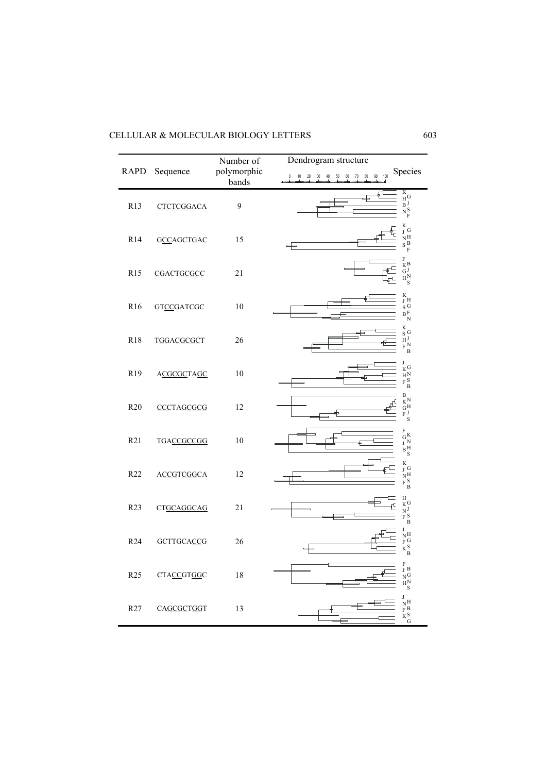| CELLULAR & MOLECULAR BIOLOGY LETTERS |  |
|--------------------------------------|--|
|--------------------------------------|--|

| <b>RAPD</b>      | Sequence          | Number of<br>polymorphic<br>bands | Dendrogram structure<br>Species<br>$90 - 100$<br>10  20  30  40  50  60  70  80<br>$\mathbf{0}$                                |
|------------------|-------------------|-----------------------------------|--------------------------------------------------------------------------------------------------------------------------------|
| R13              | <b>CTCTCGGACA</b> | 9                                 | $\begin{array}{c} \text{K} \ \text{H}\ \text{G} \ \text{B} \ \text{J} \ \text{N} \ \text{S} \ \text{N} \ \text{F} \end{array}$ |
| R14              | <b>GCCAGCTGAC</b> | 15                                | $_{\rm J}^{\rm K}$ G<br>$_{\rm N}{\rm H}$<br>$\mathbf S$ B<br>F                                                                |
| R <sub>15</sub>  | CGACTGCGCC        | 21                                | $\mathbf F$<br>$\mathbf{K}^{\mathbf{B}}$<br>$\bar{\mathbf{G}}^{\mathbf{J}}$<br>$H_S^N$                                         |
| R <sub>16</sub>  | <b>GTCCGATCGC</b> | 10                                | $_{\rm J}^{\rm K}$ H<br>$S \over B F$<br>$\overline{N}$                                                                        |
| R18              | <b>TGGACGCGCT</b> | 26                                | K<br>$\mathbf{S}$ G<br>$\mathbf{H}^{\mathbf{J}}$<br>$\stackrel{\cdot\cdot}{\phantom{F}}$ N<br>$\overline{B}$                   |
| R <sub>19</sub>  | <b>ACGCGCTAGC</b> | 10                                | J<br>$K$ <sup>G</sup><br>$\frac{H}{F}$ <sup>N</sup><br>F S<br>$\overline{B}$                                                   |
| R <sub>20</sub>  | CCCTAGCGCG        | 12                                | $\, {\bf B}$<br>$K^N$<br>$\mathrm{G}^{\mathrm{H}}$<br>F J<br>S                                                                 |
| R21              | TGACCGCCGG        | 10                                | $\rm F$<br>$G_N$<br>$J_N$<br>$B_M$<br>S                                                                                        |
| R22              | <b>ACCGTCGGCA</b> | 12                                | K<br>$\int G$<br>$\tilde{N}$ H<br>$\stackrel{\cdot\cdot}{_{\rm F}}$ S<br>$\overline{B}$                                        |
| R <sub>2</sub> 3 | CTGCAGGCAG        | 21                                | H<br>$\rm K^G$<br>£<br>$N^J$<br>$\overrightarrow{F}$ $\overrightarrow{B}$                                                      |
| R24              | <b>GCTTGCACCG</b> | 26                                | T<br>NН<br>$_{F}$ G<br>$K_{\rm B}$                                                                                             |
| R <sub>25</sub>  | <b>CTACCGTGGC</b> | 18                                | F<br>$_{\rm J}$ B<br>$N_{H_N}^G$                                                                                               |
| R <sub>27</sub>  | CAGCGCTGGT        | 13                                | J<br>$\frac{N}{F}$ B<br>$K_G^S$                                                                                                |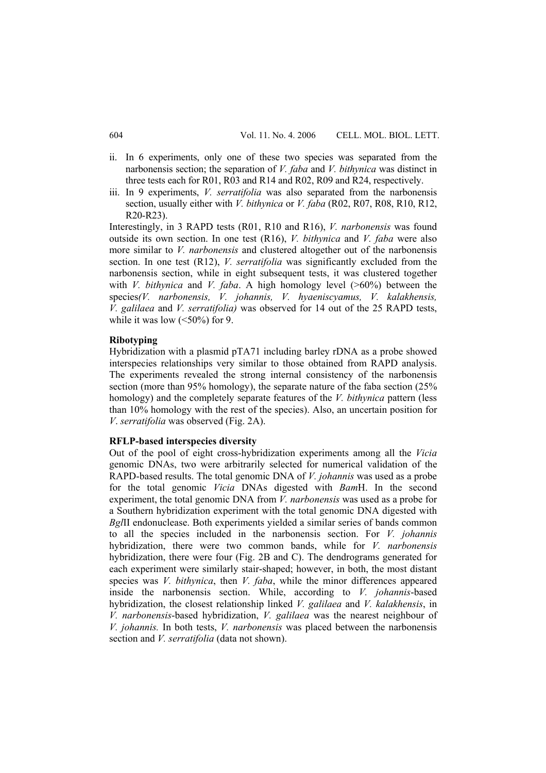- ii. In 6 experiments, only one of these two species was separated from the narbonensis section; the separation of *V. faba* and *V. bithynica* was distinct in three tests each for R01, R03 and R14 and R02, R09 and R24, respectively.
- iii. In 9 experiments, *V. serratifolia* was also separated from the narbonensis section, usually either with *V. bithynica* or *V. faba* (R02, R07, R08, R10, R12, R20-R23).

Interestingly, in 3 RAPD tests (R01, R10 and R16), *V. narbonensis* was found outside its own section. In one test (R16), *V. bithynica* and *V. faba* were also more similar to *V. narbonensis* and clustered altogether out of the narbonensis section. In one test (R12), *V. serratifolia* was significantly excluded from the narbonensis section, while in eight subsequent tests, it was clustered together with *V. bithynica* and *V. faba*. A high homology level (>60%) between the species*(V. narbonensis, V. johannis, V. hyaeniscyamus, V. kalakhensis, V. galilaea* and *V. serratifolia)* was observed for 14 out of the 25 RAPD tests, while it was low  $(<50\%)$  for 9.

# **Ribotyping**

Hybridization with a plasmid pTA71 including barley rDNA as a probe showed interspecies relationships very similar to those obtained from RAPD analysis. The experiments revealed the strong internal consistency of the narbonensis section (more than 95% homology), the separate nature of the faba section (25% homology) and the completely separate features of the *V. bithynica* pattern (less than 10% homology with the rest of the species). Also, an uncertain position for *V*. *serratifolia* was observed (Fig. 2A).

## **RFLP-based interspecies diversity**

Out of the pool of eight cross-hybridization experiments among all the *Vicia* genomic DNAs, two were arbitrarily selected for numerical validation of the RAPD-based results. The total genomic DNA of *V. johannis* was used as a probe for the total genomic *Vicia* DNAs digested with *Bam*H. In the second experiment, the total genomic DNA from *V. narbonensis* was used as a probe for a Southern hybridization experiment with the total genomic DNA digested with *Bgl*II endonuclease. Both experiments yielded a similar series of bands common to all the species included in the narbonensis section. For *V. johannis* hybridization, there were two common bands, while for *V. narbonensis*  hybridization, there were four (Fig. 2B and C). The dendrograms generated for each experiment were similarly stair-shaped; however, in both, the most distant species was *V. bithynica*, then *V. faba*, while the minor differences appeared inside the narbonensis section. While, according to *V. johannis*-based hybridization, the closest relationship linked *V. galilaea* and *V. kalakhensis*, in *V. narbonensis*-based hybridization, *V. galilaea* was the nearest neighbour of *V. johannis.* In both tests, *V. narbonensis* was placed between the narbonensis section and *V. serratifolia* (data not shown).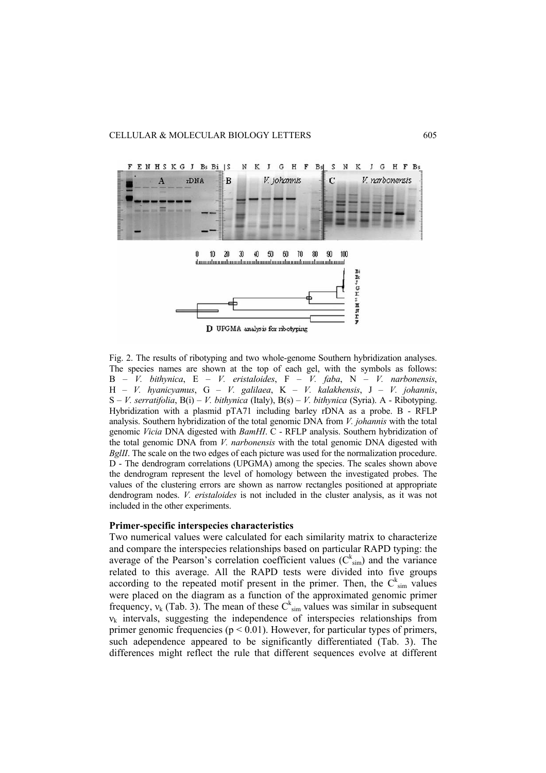

Fig. 2. The results of ribotyping and two whole-genome Southern hybridization analyses. The species names are shown at the top of each gel, with the symbols as follows: B – *V. bithynica*, E – *V. eristaloides*, F – *V. faba*, N – *V. narbonensis*, H – *V. hyanicyamus*, G – *V. galilaea*, K – *V. kalakhensis*, J – *V. johannis*, S – *V. serratifolia*, B(i) – *V. bithynica* (Italy), B(s) – *V. bithynica* (Syria). A - Ribotyping. Hybridization with a plasmid pTA71 including barley rDNA as a probe. B - RFLP analysis. Southern hybridization of the total genomic DNA from *V. johannis* with the total genomic *Vicia* DNA digested with *BamHI*. C - RFLP analysis. Southern hybridization of the total genomic DNA from *V. narbonensis* with the total genomic DNA digested with *BgIII*. The scale on the two edges of each picture was used for the normalization procedure. D - The dendrogram correlations (UPGMA) among the species. The scales shown above the dendrogram represent the level of homology between the investigated probes. The values of the clustering errors are shown as narrow rectangles positioned at appropriate dendrogram nodes. *V. eristaloides* is not included in the cluster analysis, as it was not included in the other experiments.

#### **Primer-specific interspecies characteristics**

Two numerical values were calculated for each similarity matrix to characterize and compare the interspecies relationships based on particular RAPD typing: the average of the Pearson's correlation coefficient values  $(C_{sim}^{k})$  and the variance related to this average. All the RAPD tests were divided into five groups according to the repeated motif present in the primer. Then, the  $C_{sim}^{k}$  values were placed on the diagram as a function of the approximated genomic primer frequency,  $v_k$  (Tab. 3). The mean of these  $C_{sim}^k$  values was similar in subsequent  $v_k$  intervals, suggesting the independence of interspecies relationships from primer genomic frequencies ( $p < 0.01$ ). However, for particular types of primers, such adependence appeared to be significantly differentiated (Tab. 3). The differences might reflect the rule that different sequences evolve at different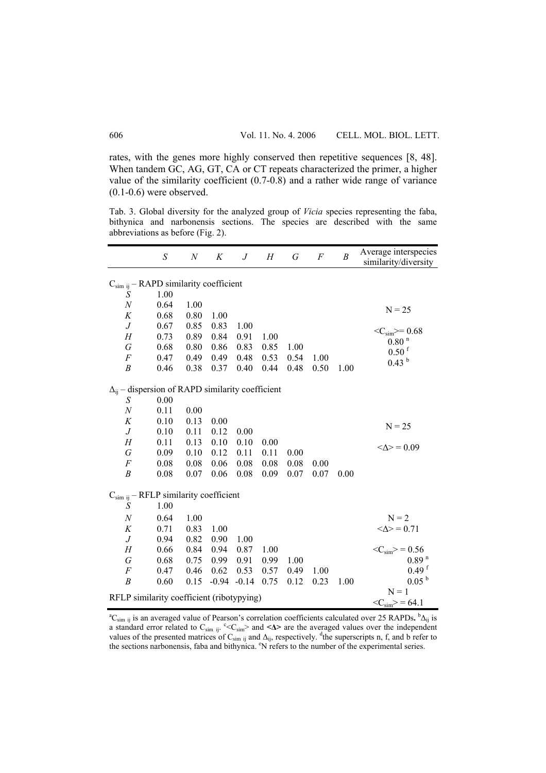rates, with the genes more highly conserved then repetitive sequences [8, 48]. When tandem GC, AG, GT, CA or CT repeats characterized the primer, a higher value of the similarity coefficient (0.7-0.8) and a rather wide range of variance (0.1-0.6) were observed.

Tab. 3. Global diversity for the analyzed group of *Vicia* species representing the faba, bithynica and narbonensis sections. The species are described with the same abbreviations as before (Fig. 2).

|                                                           | S    | $\boldsymbol{N}$ | Κ       | $J_{\cdot}$ | H    | G       | F    | $\boldsymbol{B}$ | Average interspecies<br>similarity/diversity |
|-----------------------------------------------------------|------|------------------|---------|-------------|------|---------|------|------------------|----------------------------------------------|
| $C_{sim}$ ij – RAPD similarity coefficient                |      |                  |         |             |      |         |      |                  |                                              |
| S                                                         | 1.00 |                  |         |             |      |         |      |                  |                                              |
| $\boldsymbol{N}$                                          | 0.64 | 1.00             |         |             |      |         |      |                  | $N = 25$                                     |
| K                                                         | 0.68 | 0.80             | 1.00    |             |      |         |      |                  |                                              |
| $\boldsymbol{J}$                                          | 0.67 | 0.85             | 0.83    | 1.00        |      |         |      |                  | $\langle C_{sim}\rangle = 0.68$              |
| Н                                                         | 0.73 | 0.89             | 0.84    | 0.91        | 1.00 |         |      |                  | $0.80$ <sup>n</sup>                          |
| G                                                         | 0.68 | 0.80             | 0.86    | 0.83        | 0.85 | 1.00    |      |                  | $0.50$ f                                     |
| F                                                         | 0.47 | 0.49             | 0.49    | 0.48        | 0.53 | 0.54    | 1.00 |                  | 0.43 <sup>b</sup>                            |
| $\boldsymbol{B}$                                          | 0.46 | 0.38             | 0.37    | 0.40        | 0.44 | 0.48    | 0.50 | 1.00             |                                              |
| $\Delta_{ii}$ – dispersion of RAPD similarity coefficient |      |                  |         |             |      |         |      |                  |                                              |
| S                                                         | 0.00 |                  |         |             |      |         |      |                  |                                              |
| $\cal N$                                                  | 0.11 | 0.00             |         |             |      |         |      |                  |                                              |
| K                                                         | 0.10 | 0.13             | 0.00    |             |      |         |      |                  | $N = 25$                                     |
| $\boldsymbol{J}$                                          | 0.10 | 0.11             | 0.12    | $0.00\,$    |      |         |      |                  |                                              |
| H                                                         | 0.11 | 0.13             | 0.10    | 0.10        | 0.00 |         |      |                  | $<\!\!\Delta\!\!>=0.09$                      |
| G                                                         | 0.09 | 0.10             | 0.12    | 0.11        | 0.11 | 0.00    |      |                  |                                              |
| F                                                         | 0.08 | 0.08             | 0.06    | 0.08        | 0.08 | 0.08    | 0.00 |                  |                                              |
| B                                                         | 0.08 | 0.07             | 0.06    | 0.08        | 0.09 | 0.07    | 0.07 | 0.00             |                                              |
| $C_{sim}$ ij – RFLP similarity coefficient                |      |                  |         |             |      |         |      |                  |                                              |
| S                                                         | 1.00 |                  |         |             |      |         |      |                  |                                              |
| N                                                         | 0.64 | 1.00             |         |             |      |         |      |                  | $N = 2$                                      |
| K                                                         | 0.71 | 0.83             | 1.00    |             |      |         |      |                  | $<\!\!\Delta\!\!>=0.71$                      |
| $\boldsymbol{J}$                                          | 0.94 | 0.82             | 0.90    | 1.00        |      |         |      |                  |                                              |
| H                                                         | 0.66 | 0.84             | 0.94    | 0.87        | 1.00 |         |      |                  | $\langle C_{sim} \rangle = 0.56$             |
| G                                                         | 0.68 | 0.75             | 0.99    | 0.91        | 0.99 | 1.00    |      |                  | 0.89 <sup>n</sup>                            |
| F                                                         | 0.47 | 0.46             | 0.62    | 0.53        | 0.57 | 0.49    | 1.00 |                  | $0.49$ f                                     |
| $\boldsymbol{B}$                                          | 0.60 | 0.15             | $-0.94$ | $-0.14$     | 0.75 | 0.12    | 0.23 | 1.00             | 0.05 <sup>b</sup>                            |
| RFLP similarity coefficient (ribotypying)                 |      |                  |         |             |      | $N = 1$ |      |                  |                                              |
|                                                           |      |                  |         |             |      |         |      |                  | $\langle C_{sim}\rangle$ = 64.1              |

<sup>a</sup>C<sub>sim ij</sub> is an averaged value of Pearson's correlation coefficients calculated over 25 RAPDs. <sup>b</sup>Δ<sub>ij</sub> is a standard error related to C<sub>sim ij</sub>. <sup>c</sup><C<sub>sim</sub>> and <Δ> are the averaged values over the independent values of the presented matrices of  $C_{sim}$  ij and  $\Delta_{ij}$ , respectively. <sup>d</sup>the superscripts n, f, and b refer to the sections narbonensis, faba and bithynica. <sup>e</sup>N refers to the number of the experimental series.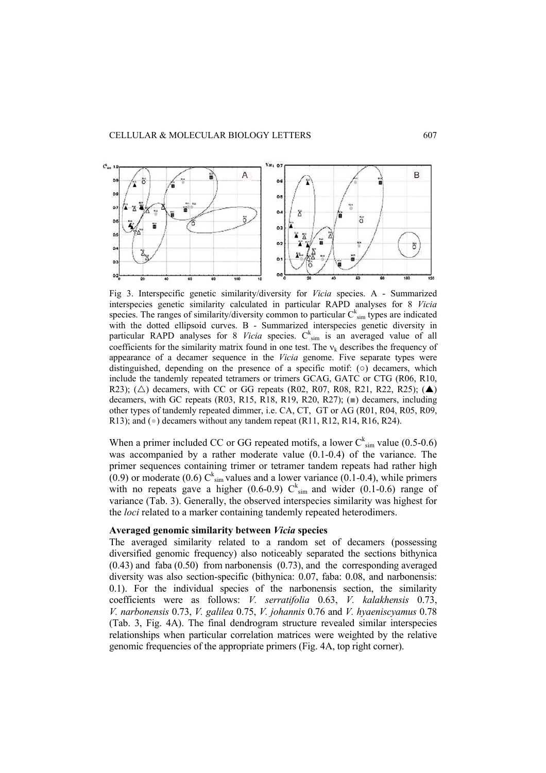

Fig 3. Interspecific genetic similarity/diversity for *Vicia* species. A - Summarized interspecies genetic similarity calculated in particular RAPD analyses for 8 *Vicia* species. The ranges of similarity/diversity common to particular  $C_{sim}^{k}$  types are indicated with the dotted ellipsoid curves. B - Summarized interspecies genetic diversity in particular RAPD analyses for 8 *Vicia* species.  $C_{sim}^{k}$  is an averaged value of all coefficients for the similarity matrix found in one test. The  $v_k$  describes the frequency of appearance of a decamer sequence in the *Vicia* genome. Five separate types were distinguished, depending on the presence of a specific motif:  $\circ$ ) decamers, which include the tandemly repeated tetramers or trimers GCAG, GATC or CTG (R06, R10, R23); ( $\triangle$ ) decamers, with CC or GG repeats (R02, R07, R08, R21, R22, R25); ( $\triangle$ ) decamers, with GC repeats (R03, R15, R18, R19, R20, R27); (■) decamers, including other types of tandemly repeated dimmer, i.e. CA, CT, GT or AG (R01, R04, R05, R09, R13); and  $(\bullet)$  decamers without any tandem repeat (R11, R12, R14, R16, R24).

When a primer included CC or GG repeated motifs, a lower  $C_{sim}^{k}$  value (0.5-0.6) was accompanied by a rather moderate value (0.1-0.4) of the variance. The primer sequences containing trimer or tetramer tandem repeats had rather high  $(0.9)$  or moderate  $(0.6)$  C<sup>k</sup><sub>sim</sub> values and a lower variance  $(0.1$ -0.4), while primers with no repeats gave a higher (0.6-0.9)  $C_{\text{sim}}^k$  and wider (0.1-0.6) range of variance (Tab. 3). Generally, the observed interspecies similarity was highest for the *loci* related to a marker containing tandemly repeated heterodimers.

#### **Averaged genomic similarity between** *Vicia* **species**

The averaged similarity related to a random set of decamers (possessing diversified genomic frequency) also noticeably separated the sections bithynica (0.43) and faba (0.50) from narbonensis (0.73), and the corresponding averaged diversity was also section-specific (bithynica: 0.07, faba: 0.08, and narbonensis: 0.1). For the individual species of the narbonensis section, the similarity coefficients were as follows: *V. serratifolia* 0.63, *V. kalakhensis* 0.73, *V. narbonensis* 0.73, *V. galilea* 0.75, *V. johannis* 0.76 and *V. hyaeniscyamus* 0.78 (Tab. 3, Fig. 4A). The final dendrogram structure revealed similar interspecies relationships when particular correlation matrices were weighted by the relative genomic frequencies of the appropriate primers (Fig. 4A, top right corner).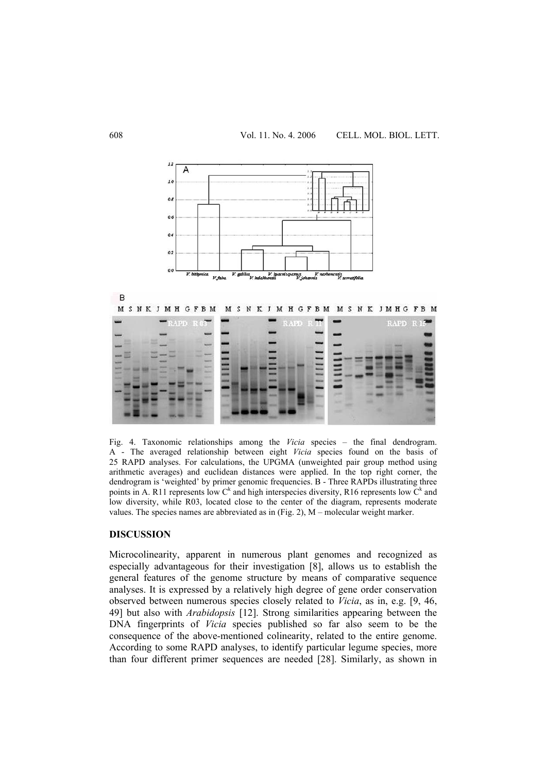

Fig. 4. Taxonomic relationships among the *Vicia* species – the final dendrogram. A - The averaged relationship between eight *Vicia* species found on the basis of 25 RAPD analyses. For calculations, the UPGMA (unweighted pair group method using arithmetic averages) and euclidean distances were applied. In the top right corner, the dendrogram is 'weighted' by primer genomic frequencies. B - Three RAPDs illustrating three points in A. R11 represents low  $C^k$  and high interspecies diversity, R16 represents low  $C^k$  and low diversity, while R03, located close to the center of the diagram, represents moderate values. The species names are abbreviated as in (Fig. 2), M – molecular weight marker.

# **DISCUSSION**

Microcolinearity, apparent in numerous plant genomes and recognized as especially advantageous for their investigation [8], allows us to establish the general features of the genome structure by means of comparative sequence analyses. It is expressed by a relatively high degree of gene order conservation observed between numerous species closely related to *Vicia*, as in, e.g. [9, 46, 49] but also with *Arabidopsis* [12]. Strong similarities appearing between the DNA fingerprints of *Vicia* species published so far also seem to be the consequence of the above-mentioned colinearity, related to the entire genome. According to some RAPD analyses, to identify particular legume species, more than four different primer sequences are needed [28]. Similarly, as shown in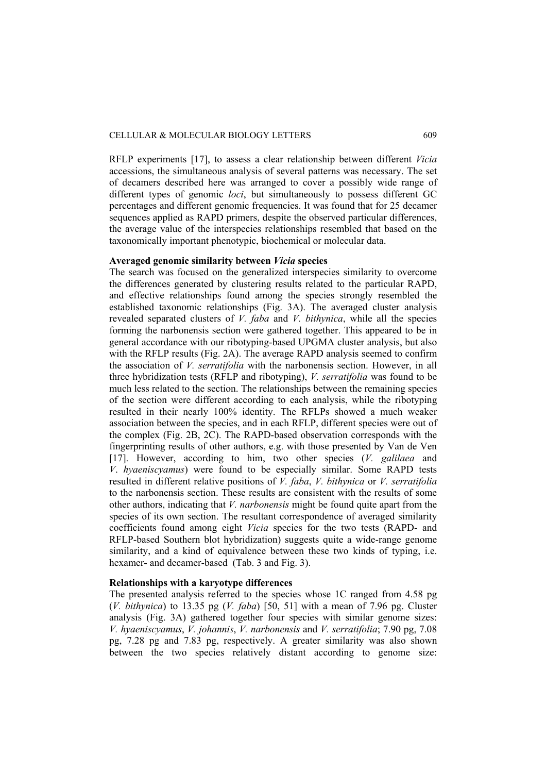RFLP experiments [17], to assess a clear relationship between different *Vicia*  accessions, the simultaneous analysis of several patterns was necessary. The set of decamers described here was arranged to cover a possibly wide range of different types of genomic *loci*, but simultaneously to possess different GC percentages and different genomic frequencies. It was found that for 25 decamer sequences applied as RAPD primers, despite the observed particular differences, the average value of the interspecies relationships resembled that based on the taxonomically important phenotypic, biochemical or molecular data.

# **Averaged genomic similarity between** *Vicia* **species**

The search was focused on the generalized interspecies similarity to overcome the differences generated by clustering results related to the particular RAPD, and effective relationships found among the species strongly resembled the established taxonomic relationships (Fig. 3A). The averaged cluster analysis revealed separated clusters of *V. faba* and *V. bithynica*, while all the species forming the narbonensis section were gathered together. This appeared to be in general accordance with our ribotyping-based UPGMA cluster analysis, but also with the RFLP results (Fig. 2A). The average RAPD analysis seemed to confirm the association of *V. serratifolia* with the narbonensis section. However, in all three hybridization tests (RFLP and ribotyping), *V. serratifolia* was found to be much less related to the section. The relationships between the remaining species of the section were different according to each analysis, while the ribotyping resulted in their nearly 100% identity. The RFLPs showed a much weaker association between the species, and in each RFLP, different species were out of the complex (Fig. 2B, 2C). The RAPD-based observation corresponds with the fingerprinting results of other authors, e.g. with those presented by Van de Ven [17]. However, according to him, two other species (*V. galilaea* and *V*. *hyaeniscyamus*) were found to be especially similar. Some RAPD tests resulted in different relative positions of *V. faba*, *V. bithynica* or *V. serratifolia* to the narbonensis section. These results are consistent with the results of some other authors, indicating that *V. narbonensis* might be found quite apart from the species of its own section. The resultant correspondence of averaged similarity coefficients found among eight *Vicia* species for the two tests (RAPD- and RFLP-based Southern blot hybridization) suggests quite a wide-range genome similarity, and a kind of equivalence between these two kinds of typing, i.e. hexamer- and decamer-based (Tab. 3 and Fig. 3).

# **Relationships with a karyotype differences**

The presented analysis referred to the species whose 1C ranged from 4.58 pg (*V. bithynica*) to 13.35 pg (*V. faba*) [50, 51] with a mean of 7.96 pg. Cluster analysis (Fig. 3A) gathered together four species with similar genome sizes: *V. hyaeniscyamus*, *V. johannis*, *V. narbonensis* and *V. serratifolia*; 7.90 pg, 7.08 pg, 7.28 pg and 7.83 pg, respectively. A greater similarity was also shown between the two species relatively distant according to genome size: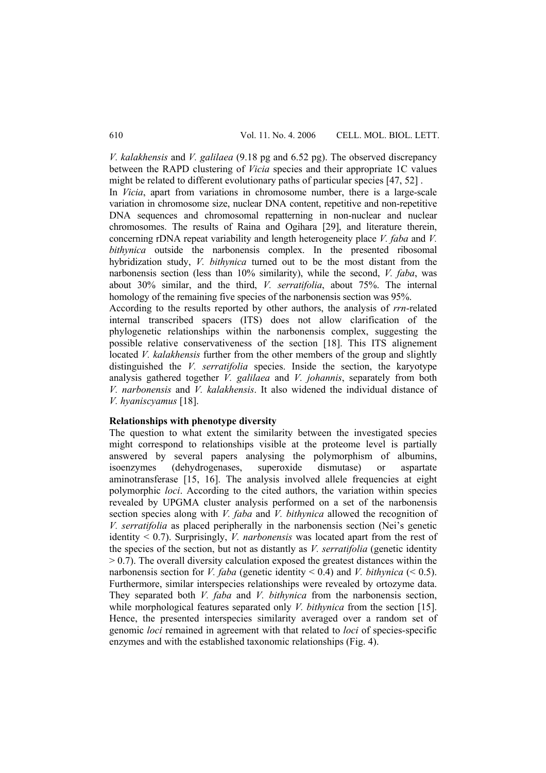*V. kalakhensis* and *V. galilaea* (9.18 pg and 6.52 pg). The observed discrepancy between the RAPD clustering of *Vicia* species and their appropriate 1C values might be related to different evolutionary paths of particular species [47, 52] .

In *Vicia*, apart from variations in chromosome number, there is a large-scale variation in chromosome size, nuclear DNA content, repetitive and non-repetitive DNA sequences and chromosomal repatterning in non-nuclear and nuclear chromosomes. The results of Raina and Ogihara [29], and literature therein, concerning rDNA repeat variability and length heterogeneity place *V. faba* and *V. bithynica* outside the narbonensis complex. In the presented ribosomal hybridization study, *V. bithynica* turned out to be the most distant from the narbonensis section (less than 10% similarity), while the second, *V. faba*, was about 30% similar, and the third, *V. serratifolia*, about 75%. The internal homology of the remaining five species of the narbonensis section was 95%.

According to the results reported by other authors, the analysis of *rrn*-related internal transcribed spacers (ITS) does not allow clarification of the phylogenetic relationships within the narbonensis complex, suggesting the possible relative conservativeness of the section [18]. This ITS alignement located *V. kalakhensis* further from the other members of the group and slightly distinguished the *V. serratifolia* species. Inside the section, the karyotype analysis gathered together *V. galilaea* and *V. johannis*, separately from both *V. narbonensis* and *V. kalakhensis*. It also widened the individual distance of *V. hyaniscyamus* [18].

## **Relationships with phenotype diversity**

The question to what extent the similarity between the investigated species might correspond to relationships visible at the proteome level is partially answered by several papers analysing the polymorphism of albumins, isoenzymes (dehydrogenases, superoxide dismutase) or aspartate aminotransferase [15, 16]. The analysis involved allele frequencies at eight polymorphic *loci*. According to the cited authors, the variation within species revealed by UPGMA cluster analysis performed on a set of the narbonensis section species along with *V. faba* and *V. bithynica* allowed the recognition of *V. serratifolia* as placed peripherally in the narbonensis section (Nei's genetic identity < 0.7). Surprisingly, *V. narbonensis* was located apart from the rest of the species of the section, but not as distantly as *V. serratifolia* (genetic identity  $> 0.7$ ). The overall diversity calculation exposed the greatest distances within the narbonensis section for *V. faba* (genetic identity  $\leq$  0.4) and *V. bithynica* ( $\leq$  0.5). Furthermore, similar interspecies relationships were revealed by ortozyme data. They separated both *V. faba* and *V. bithynica* from the narbonensis section, while morphological features separated only *V. bithynica* from the section [15]. Hence, the presented interspecies similarity averaged over a random set of genomic *loci* remained in agreement with that related to *loci* of species-specific enzymes and with the established taxonomic relationships (Fig. 4).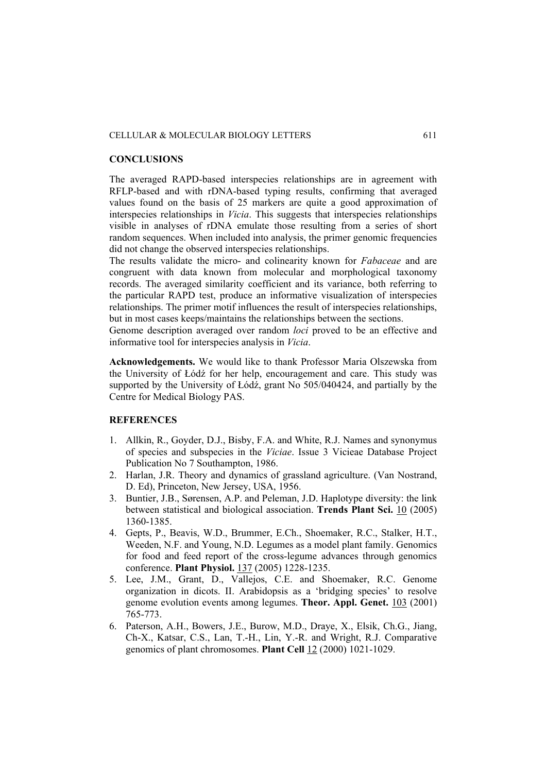### **CONCLUSIONS**

The averaged RAPD-based interspecies relationships are in agreement with RFLP-based and with rDNA-based typing results, confirming that averaged values found on the basis of 25 markers are quite a good approximation of interspecies relationships in *Vicia*. This suggests that interspecies relationships visible in analyses of rDNA emulate those resulting from a series of short random sequences. When included into analysis, the primer genomic frequencies did not change the observed interspecies relationships.

The results validate the micro- and colinearity known for *Fabaceae* and are congruent with data known from molecular and morphological taxonomy records. The averaged similarity coefficient and its variance, both referring to the particular RAPD test, produce an informative visualization of interspecies relationships. The primer motif influences the result of interspecies relationships, but in most cases keeps/maintains the relationships between the sections.

Genome description averaged over random *loci* proved to be an effective and informative tool for interspecies analysis in *Vicia*.

**Acknowledgements.** We would like to thank Professor Maria Olszewska from the University of Łódź for her help, encouragement and care. This study was supported by the University of Łódź, grant No 505/040424, and partially by the Centre for Medical Biology PAS.

# **REFERENCES**

- 1. Allkin, R., Goyder, D.J., Bisby, F.A. and White, R.J. Names and synonymus of species and subspecies in the *Viciae*. Issue 3 Vicieae Database Project Publication No 7 Southampton, 1986.
- 2. Harlan, J.R. Theory and dynamics of grassland agriculture. (Van Nostrand, D. Ed), Princeton, New Jersey, USA, 1956.
- 3. Buntier, J.B., Sørensen, A.P. and Peleman, J.D. Haplotype diversity: the link between statistical and biological association. **Trends Plant Sci.** 10 (2005) 1360-1385.
- 4. Gepts, P., Beavis, W.D., Brummer, E.Ch., Shoemaker, R.C., Stalker, H.T., Weeden, N.F. and Young, N.D. Legumes as a model plant family. Genomics for food and feed report of the cross-legume advances through genomics conference. **Plant Physiol.** 137 (2005) 1228-1235.
- 5. Lee, J.M., Grant, D., Vallejos, C.E. and Shoemaker, R.C. Genome organization in dicots. II. Arabidopsis as a 'bridging species' to resolve genome evolution events among legumes. **Theor. Appl. Genet.** 103 (2001) 765-773.
- 6. Paterson, A.H., Bowers, J.E., Burow, M.D., Draye, X., Elsik, Ch.G., Jiang, Ch-X., Katsar, C.S., Lan, T.-H., Lin, Y.-R. and Wright, R.J. Comparative genomics of plant chromosomes. **Plant Cell** 12 (2000) 1021-1029.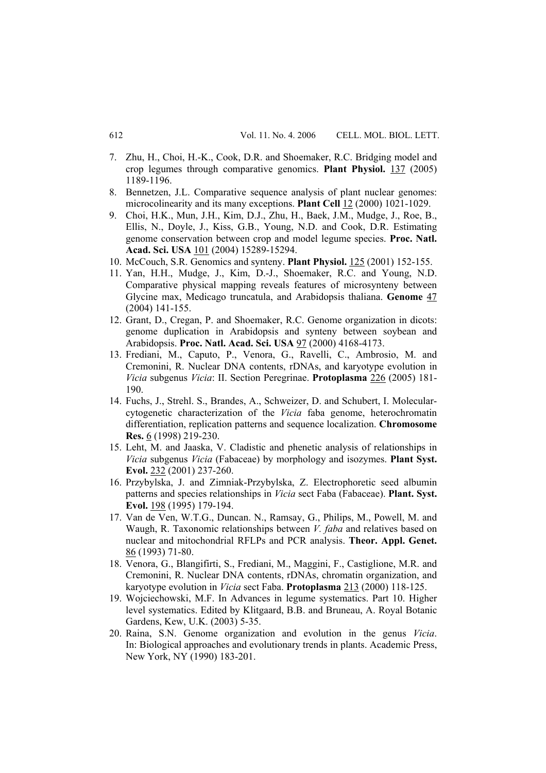- 7. Zhu, H., Choi, H.-K., Cook, D.R. and Shoemaker, R.C. Bridging model and crop legumes through comparative genomics. **Plant Physiol.** 137 (2005) 1189-1196.
- 8. Bennetzen, J.L. Comparative sequence analysis of plant nuclear genomes: microcolinearity and its many exceptions. **Plant Cell** 12 (2000) 1021-1029.
- 9. Choi, H.K., Mun, J.H., Kim, D.J., Zhu, H., Baek, J.M., Mudge, J., Roe, B., Ellis, N., Doyle, J., Kiss, G.B., Young, N.D. and Cook, D.R. Estimating genome conservation between crop and model legume species. **Proc. Natl. Acad. Sci. USA** 101 (2004) 15289-15294.
- 10. McCouch, S.R. Genomics and synteny. **Plant Physiol.** 125 (2001) 152-155.
- 11. Yan, H.H., Mudge, J., Kim, D.-J., Shoemaker, R.C. and Young, N.D. Comparative physical mapping reveals features of microsynteny between Glycine max, Medicago truncatula, and Arabidopsis thaliana. **Genome** 47 (2004) 141-155.
- 12. Grant, D., Cregan, P. and Shoemaker, R.C. Genome organization in dicots: genome duplication in Arabidopsis and synteny between soybean and Arabidopsis. **Proc. Natl. Acad. Sci. USA** 97 (2000) 4168-4173.
- 13. Frediani, M., Caputo, P., Venora, G., Ravelli, C., Ambrosio, M. and Cremonini, R. Nuclear DNA contents, rDNAs, and karyotype evolution in *Vicia* subgenus *Vicia*: II. Section Peregrinae. **Protoplasma** 226 (2005) 181- 190.
- 14. Fuchs, J., Strehl. S., Brandes, A., Schweizer, D. and Schubert, I. Molecularcytogenetic characterization of the *Vicia* faba genome, heterochromatin differentiation, replication patterns and sequence localization. **Chromosome Res.** 6 (1998) 219-230.
- 15. Leht, M. and Jaaska, V. Cladistic and phenetic analysis of relationships in *Vicia* subgenus *Vicia* (Fabaceae) by morphology and isozymes. **Plant Syst. Evol.** 232 (2001) 237-260.
- 16. Przybylska, J. and Zimniak-Przybylska, Z. Electrophoretic seed albumin patterns and species relationships in *Vicia* sect Faba (Fabaceae). **Plant. Syst. Evol.** 198 (1995) 179-194.
- 17. Van de Ven, W.T.G., Duncan. N., Ramsay, G., Philips, M., Powell, M. and Waugh, R. Taxonomic relationships between *V. faba* and relatives based on nuclear and mitochondrial RFLPs and PCR analysis. **Theor. Appl. Genet.** 86 (1993) 71-80.
- 18. Venora, G., Blangifirti, S., Frediani, M., Maggini, F., Castiglione, M.R. and Cremonini, R. Nuclear DNA contents, rDNAs, chromatin organization, and karyotype evolution in *Vicia* sect Faba. **Protoplasma** 213 (2000) 118-125.
- 19. Wojciechowski, M.F. In Advances in legume systematics. Part 10. Higher level systematics. Edited by Klitgaard, B.B. and Bruneau, A. Royal Botanic Gardens, Kew, U.K. (2003) 5-35.
- 20. Raina, S.N. Genome organization and evolution in the genus *Vicia*. In: Biological approaches and evolutionary trends in plants. Academic Press, New York, NY (1990) 183-201.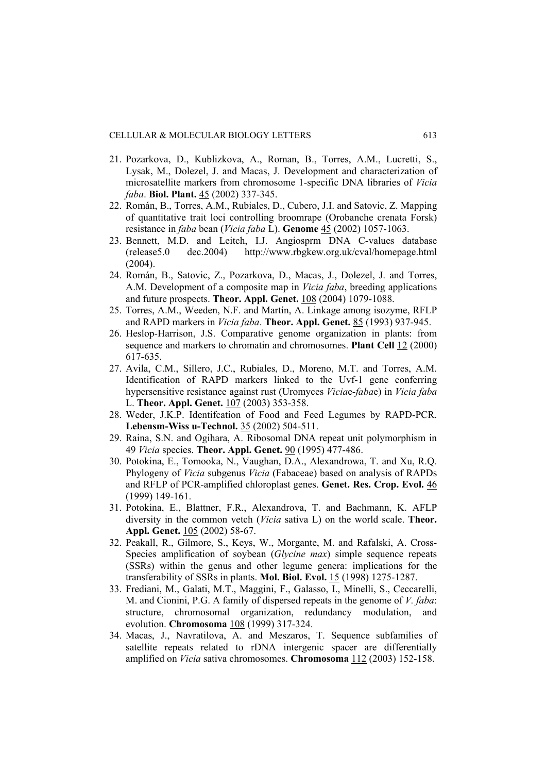- 21. Pozarkova, D., Kublizkova, A., Roman, B., Torres, A.M., Lucretti, S., Lysak, M., Dolezel, J. and Macas, J. Development and characterization of microsatellite markers from chromosome 1-specific DNA libraries of *Vicia faba*. **Biol. Plant.** 45 (2002) 337-345.
- 22. Román, B., Torres, A.M., Rubiales, D., Cubero, J.I. and Satovic, Z. Mapping of quantitative trait loci controlling broomrape (Orobanche crenata Forsk) resistance in *faba* bean (*Vicia faba* L). **Genome** 45 (2002) 1057-1063.
- 23. Bennett, M.D. and Leitch, I.J. Angiosprm DNA C-values database (release5.0 dec.2004) http://www.rbgkew.org.uk/cval/homepage.html (2004).
- 24. Román, B., Satovic, Z., Pozarkova, D., Macas, J., Dolezel, J. and Torres, A.M. Development of a composite map in *Vicia faba*, breeding applications and future prospects. **Theor. Appl. Genet.** 108 (2004) 1079-1088.
- 25. Torres, A.M., Weeden, N.F. and Martín, A. Linkage among isozyme, RFLP and RAPD markers in *Vicia faba*. **Theor. Appl. Genet.** 85 (1993) 937-945.
- 26. Heslop-Harrison, J.S. Comparative genome organization in plants: from sequence and markers to chromatin and chromosomes. **Plant Cell** 12 (2000) 617-635.
- 27. Avila, C.M., Sillero, J.C., Rubiales, D., Moreno, M.T. and Torres, A.M. Identification of RAPD markers linked to the Uvf-1 gene conferring hypersensitive resistance against rust (Uromyces *Vicia*e-*faba*e) in *Vicia faba* L. **Theor. Appl. Genet.** 107 (2003) 353-358.
- 28. Weder, J.K.P. Identifcation of Food and Feed Legumes by RAPD-PCR. **Lebensm-Wiss u-Technol.** 35 (2002) 504-511.
- 29. Raina, S.N. and Ogihara, A. Ribosomal DNA repeat unit polymorphism in 49 *Vicia* species. **Theor. Appl. Genet.** 90 (1995) 477-486.
- 30. Potokina, E., Tomooka, N., Vaughan, D.A., Alexandrowa, T. and Xu, R.Q. Phylogeny of *Vicia* subgenus *Vicia* (Fabaceae) based on analysis of RAPDs and RFLP of PCR-amplified chloroplast genes. **Genet. Res. Crop. Evol.** 46 (1999) 149-161.
- 31. Potokina, E., Blattner, F.R., Alexandrova, T. and Bachmann, K. AFLP diversity in the common vetch (*Vicia* sativa L) on the world scale. **Theor. Appl. Genet.** 105 (2002) 58-67.
- 32. Peakall, R., Gilmore, S., Keys, W., Morgante, M. and Rafalski, A. Cross-Species amplification of soybean (*Glycine max*) simple sequence repeats (SSRs) within the genus and other legume genera: implications for the transferability of SSRs in plants. **Mol. Biol. Evol.** 15 (1998) 1275-1287.
- 33. Frediani, M., Galati, M.T., Maggini, F., Galasso, I., Minelli, S., Ceccarelli, M. and Cionini, P.G. A family of dispersed repeats in the genome of *V. faba*: structure, chromosomal organization, redundancy modulation, and evolution. **Chromosoma** 108 (1999) 317-324.
- 34. Macas, J., Navratilova, A. and Meszaros, T. Sequence subfamilies of satellite repeats related to rDNA intergenic spacer are differentially amplified on *Vicia* sativa chromosomes. **Chromosoma** 112 (2003) 152-158.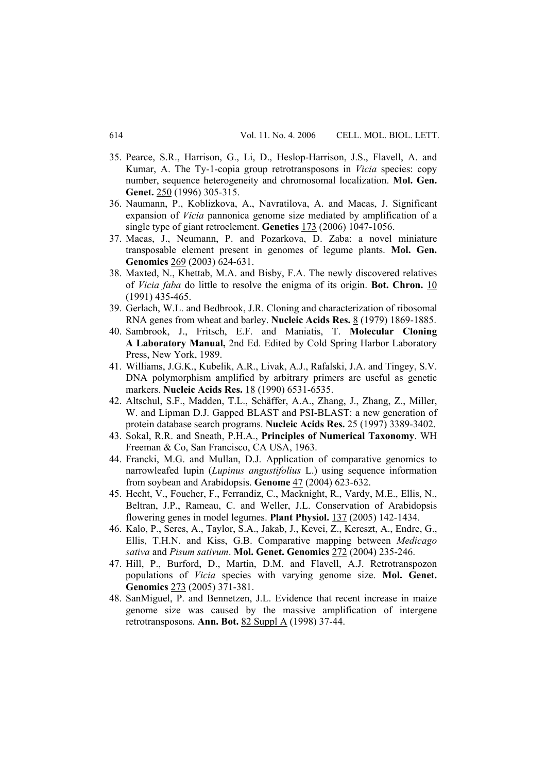- 35. Pearce, S.R., Harrison, G., Li, D., Heslop-Harrison, J.S., Flavell, A. and Kumar, A. The Ty-1-copia group retrotransposons in *Vicia* species: copy number, sequence heterogeneity and chromosomal localization. **Mol. Gen. Genet.** 250 (1996) 305-315.
- 36. Naumann, P., Koblizkova, A., Navratilova, A. and Macas, J. Significant expansion of *Vicia* pannonica genome size mediated by amplification of a single type of giant retroelement. **Genetics** 173 (2006) 1047-1056.
- 37. Macas, J., Neumann, P. and Pozarkova, D. Zaba: a novel miniature transposable element present in genomes of legume plants. **Mol. Gen. Genomics** 269 (2003) 624-631.
- 38. Maxted, N., Khettab, M.A. and Bisby, F.A. The newly discovered relatives of *Vicia faba* do little to resolve the enigma of its origin. **Bot. Chron.** 10 (1991) 435-465.
- 39. Gerlach, W.L. and Bedbrook, J.R. Cloning and characterization of ribosomal RNA genes from wheat and barley. **Nucleic Acids Res.** 8 (1979) 1869-1885.
- 40. Sambrook, J., Fritsch, E.F. and Maniatis, T. **Molecular Cloning A Laboratory Manual,** 2nd Ed. Edited by Cold Spring Harbor Laboratory Press, New York, 1989.
- 41. Williams, J.G.K., Kubelik, A.R., Livak, A.J., Rafalski, J.A. and Tingey, S.V. DNA polymorphism amplified by arbitrary primers are useful as genetic markers. **Nucleic Acids Res.** 18 (1990) 6531-6535.
- 42. Altschul, S.F., Madden, T.L., Schäffer, A.A., Zhang, J., Zhang, Z., Miller, W. and Lipman D.J. Gapped BLAST and PSI-BLAST: a new generation of protein database search programs. **Nucleic Acids Res.** 25 (1997) 3389-3402.
- 43. Sokal, R.R. and Sneath, P.H.A., **Principles of Numerical Taxonomy**. WH Freeman & Co, San Francisco, CA USA, 1963.
- 44. Francki, M.G. and Mullan, D.J. Application of comparative genomics to narrowleafed lupin (*Lupinus angustifolius* L.) using sequence information from soybean and Arabidopsis. **Genome** 47 (2004) 623-632.
- 45. Hecht, V., Foucher, F., Ferrandiz, C., Macknight, R., Vardy, M.E., Ellis, N., Beltran, J.P., Rameau, C. and Weller, J.L. Conservation of Arabidopsis flowering genes in model legumes. **Plant Physiol.** 137 (2005) 142-1434.
- 46. Kalo, P., Seres, A., Taylor, S.A., Jakab, J., Kevei, Z., Kereszt, A., Endre, G., Ellis, T.H.N. and Kiss, G.B. Comparative mapping between *Medicago sativa* and *Pisum sativum*. **Mol. Genet. Genomics** 272 (2004) 235-246.
- 47. Hill, P., Burford, D., Martin, D.M. and Flavell, A.J. Retrotranspozon populations of *Vicia* species with varying genome size. **Mol. Genet. Genomics** 273 (2005) 371-381.
- 48. SanMiguel, P. and Bennetzen, J.L. Evidence that recent increase in maize genome size was caused by the massive amplification of intergene retrotransposons. **Ann. Bot.** 82 Suppl A (1998) 37-44.